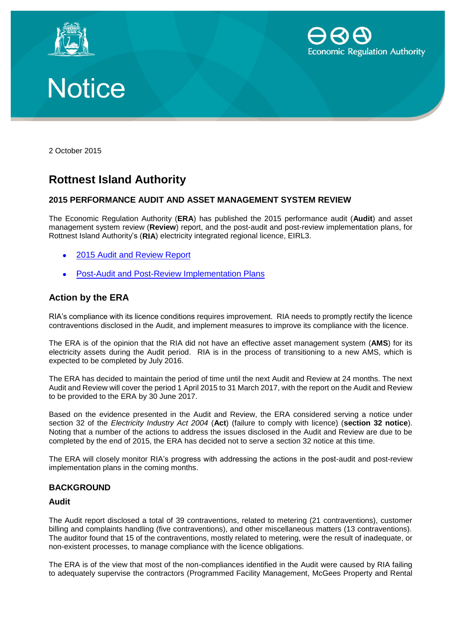





2 October 2015

# **Rottnest Island Authority**

# **2015 PERFORMANCE AUDIT AND ASSET MANAGEMENT SYSTEM REVIEW**

The Economic Regulation Authority (**ERA**) has published the 2015 performance audit (**Audit**) and asset management system review (**Review**) report, and the post-audit and post-review implementation plans, for Rottnest Island Authority's (**RIA**) electricity integrated regional licence, EIRL3.

- 2015 [Audit and Review Report](http://www.erawa.com.au/cproot/13910/2/2015%20Rottnest%20Island%20Authority%20Audit%20and%20Review%20Report.pdf)
- [Post-Audit and Post-Review Implementation Plans](http://www.erawa.com.au/cproot/13911/2/Rottnest%20Island%20Authority%20Post%20Audit%20and%20Post%20review%20Implementation%20Plan.pdf)

# **Action by the ERA**

RIA's compliance with its licence conditions requires improvement. RIA needs to promptly rectify the licence contraventions disclosed in the Audit, and implement measures to improve its compliance with the licence.

The ERA is of the opinion that the RIA did not have an effective asset management system (**AMS**) for its electricity assets during the Audit period. RIA is in the process of transitioning to a new AMS, which is expected to be completed by July 2016.

The ERA has decided to maintain the period of time until the next Audit and Review at 24 months. The next Audit and Review will cover the period 1 April 2015 to 31 March 2017, with the report on the Audit and Review to be provided to the ERA by 30 June 2017.

Based on the evidence presented in the Audit and Review, the ERA considered serving a notice under section 32 of the *Electricity Industry Act 2004* (**Act**) (failure to comply with licence) (**section 32 notice**). Noting that a number of the actions to address the issues disclosed in the Audit and Review are due to be completed by the end of 2015, the ERA has decided not to serve a section 32 notice at this time.

The ERA will closely monitor RIA's progress with addressing the actions in the post-audit and post-review implementation plans in the coming months.

## **BACKGROUND**

#### **Audit**

The Audit report disclosed a total of 39 contraventions, related to metering (21 contraventions), customer billing and complaints handling (five contraventions), and other miscellaneous matters (13 contraventions). The auditor found that 15 of the contraventions, mostly related to metering, were the result of inadequate, or non-existent processes, to manage compliance with the licence obligations.

The ERA is of the view that most of the non-compliances identified in the Audit were caused by RIA failing to adequately supervise the contractors (Programmed Facility Management, McGees Property and Rental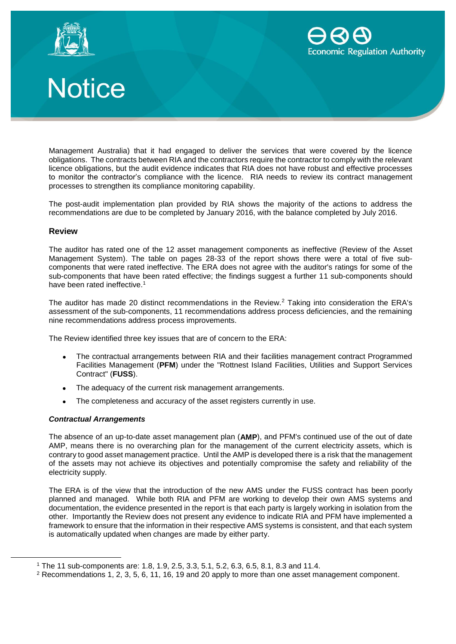



# Notice

Management Australia) that it had engaged to deliver the services that were covered by the licence obligations. The contracts between RIA and the contractors require the contractor to comply with the relevant licence obligations, but the audit evidence indicates that RIA does not have robust and effective processes to monitor the contractor's compliance with the licence. RIA needs to review its contract management processes to strengthen its compliance monitoring capability.

The post-audit implementation plan provided by RIA shows the majority of the actions to address the recommendations are due to be completed by January 2016, with the balance completed by July 2016.

# **Review**

The auditor has rated one of the 12 asset management components as ineffective (Review of the Asset Management System). The table on pages 28-33 of the report shows there were a total of five subcomponents that were rated ineffective. The ERA does not agree with the auditor's ratings for some of the sub-components that have been rated effective; the findings suggest a further 11 sub-components should have been rated ineffective.<sup>1</sup>

The auditor has made 20 distinct recommendations in the Review.<sup>2</sup> Taking into consideration the ERA's assessment of the sub-components, 11 recommendations address process deficiencies, and the remaining nine recommendations address process improvements.

The Review identified three key issues that are of concern to the ERA:

- The contractual arrangements between RIA and their facilities management contract Programmed Facilities Management (**PFM**) under the "Rottnest Island Facilities, Utilities and Support Services Contract" (**FUSS**).
- The adequacy of the current risk management arrangements.
- The completeness and accuracy of the asset registers currently in use.

## *Contractual Arrangements*

 $\overline{a}$ 

The absence of an up-to-date asset management plan (**AMP**), and PFM's continued use of the out of date AMP, means there is no overarching plan for the management of the current electricity assets, which is contrary to good asset management practice. Until the AMP is developed there is a risk that the management of the assets may not achieve its objectives and potentially compromise the safety and reliability of the electricity supply.

The ERA is of the view that the introduction of the new AMS under the FUSS contract has been poorly planned and managed. While both RIA and PFM are working to develop their own AMS systems and documentation, the evidence presented in the report is that each party is largely working in isolation from the other. Importantly the Review does not present any evidence to indicate RIA and PFM have implemented a framework to ensure that the information in their respective AMS systems is consistent, and that each system is automatically updated when changes are made by either party.

<sup>1</sup> The 11 sub-components are: 1.8, 1.9, 2.5, 3.3, 5.1, 5.2, 6.3, 6.5, 8.1, 8.3 and 11.4.

<sup>2</sup> Recommendations 1, 2, 3, 5, 6, 11, 16, 19 and 20 apply to more than one asset management component.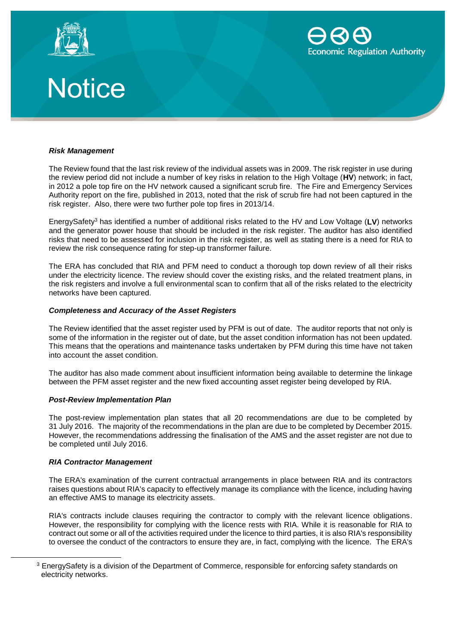![](_page_2_Picture_0.jpeg)

![](_page_2_Picture_1.jpeg)

![](_page_2_Picture_2.jpeg)

#### *Risk Management*

The Review found that the last risk review of the individual assets was in 2009. The risk register in use during the review period did not include a number of key risks in relation to the High Voltage (**HV**) network; in fact, in 2012 a pole top fire on the HV network caused a significant scrub fire. The Fire and Emergency Services Authority report on the fire, published in 2013, noted that the risk of scrub fire had not been captured in the risk register. Also, there were two further pole top fires in 2013/14.

EnergySafety<sup>3</sup> has identified a number of additional risks related to the HV and Low Voltage (**LV**) networks and the generator power house that should be included in the risk register. The auditor has also identified risks that need to be assessed for inclusion in the risk register, as well as stating there is a need for RIA to review the risk consequence rating for step-up transformer failure.

The ERA has concluded that RIA and PFM need to conduct a thorough top down review of all their risks under the electricity licence. The review should cover the existing risks, and the related treatment plans, in the risk registers and involve a full environmental scan to confirm that all of the risks related to the electricity networks have been captured.

#### *Completeness and Accuracy of the Asset Registers*

The Review identified that the asset register used by PFM is out of date. The auditor reports that not only is some of the information in the register out of date, but the asset condition information has not been updated. This means that the operations and maintenance tasks undertaken by PFM during this time have not taken into account the asset condition.

The auditor has also made comment about insufficient information being available to determine the linkage between the PFM asset register and the new fixed accounting asset register being developed by RIA.

#### *Post-Review Implementation Plan*

The post-review implementation plan states that all 20 recommendations are due to be completed by 31 July 2016. The majority of the recommendations in the plan are due to be completed by December 2015. However, the recommendations addressing the finalisation of the AMS and the asset register are not due to be completed until July 2016.

#### *RIA Contractor Management*

 $\overline{a}$ 

The ERA's examination of the current contractual arrangements in place between RIA and its contractors raises questions about RIA's capacity to effectively manage its compliance with the licence, including having an effective AMS to manage its electricity assets.

RIA's contracts include clauses requiring the contractor to comply with the relevant licence obligations. However, the responsibility for complying with the licence rests with RIA. While it is reasonable for RIA to contract out some or all of the activities required under the licence to third parties, it is also RIA's responsibility to oversee the conduct of the contractors to ensure they are, in fact, complying with the licence. The ERA's

<sup>3</sup> EnergySafety is a division of the Department of Commerce, responsible for enforcing safety standards on electricity networks.